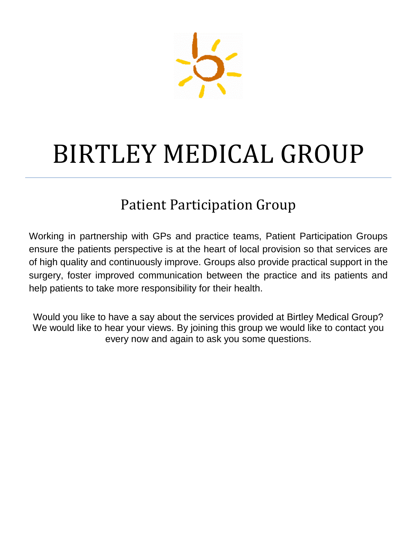

## BIRTLEY MEDICAL GROUP

## Patient Participation Group

Working in partnership with GPs and practice teams, Patient Participation Groups ensure the patients perspective is at the heart of local provision so that services are of high quality and continuously improve. Groups also provide practical support in the surgery, foster improved communication between the practice and its patients and help patients to take more responsibility for their health.

Would you like to have a say about the services provided at Birtley Medical Group? We would like to hear your views. By joining this group we would like to contact you every now and again to ask you some questions.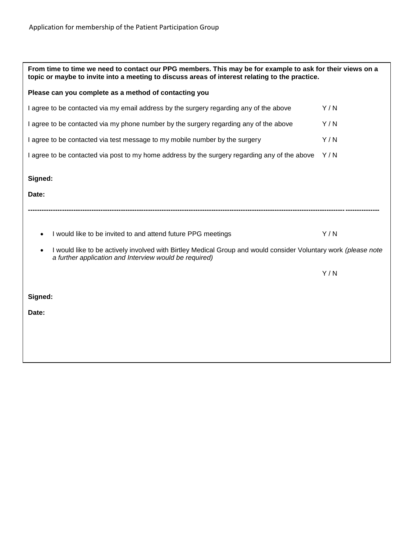| From time to time we need to contact our PPG members. This may be for example to ask for their views on a<br>topic or maybe to invite into a meeting to discuss areas of interest relating to the practice. |     |  |
|-------------------------------------------------------------------------------------------------------------------------------------------------------------------------------------------------------------|-----|--|
| Please can you complete as a method of contacting you                                                                                                                                                       |     |  |
| I agree to be contacted via my email address by the surgery regarding any of the above                                                                                                                      | Y/N |  |
| I agree to be contacted via my phone number by the surgery regarding any of the above                                                                                                                       | Y/N |  |
| I agree to be contacted via test message to my mobile number by the surgery                                                                                                                                 | Y/N |  |
| I agree to be contacted via post to my home address by the surgery regarding any of the above                                                                                                               | Y/N |  |
| Signed:                                                                                                                                                                                                     |     |  |
| Date:                                                                                                                                                                                                       |     |  |
|                                                                                                                                                                                                             |     |  |
| I would like to be invited to and attend future PPG meetings<br>$\bullet$                                                                                                                                   | Y/N |  |
| I would like to be actively involved with Birtley Medical Group and would consider Voluntary work (please note<br>$\bullet$<br>a further application and Interview would be required)                       |     |  |
|                                                                                                                                                                                                             | Y/N |  |
| Signed:                                                                                                                                                                                                     |     |  |
| Date:                                                                                                                                                                                                       |     |  |
|                                                                                                                                                                                                             |     |  |
|                                                                                                                                                                                                             |     |  |
|                                                                                                                                                                                                             |     |  |